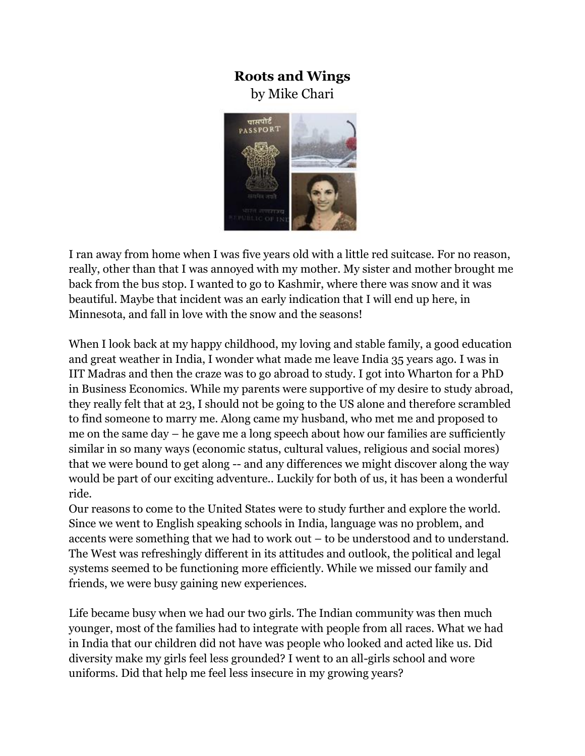## **Roots and Wings**  by Mike Chari



I ran away from home when I was five years old with a little red suitcase. For no reason, really, other than that I was annoyed with my mother. My sister and mother brought me back from the bus stop. I wanted to go to Kashmir, where there was snow and it was beautiful. Maybe that incident was an early indication that I will end up here, in Minnesota, and fall in love with the snow and the seasons!

When I look back at my happy childhood, my loving and stable family, a good education and great weather in India, I wonder what made me leave India 35 years ago. I was in IIT Madras and then the craze was to go abroad to study. I got into Wharton for a PhD in Business Economics. While my parents were supportive of my desire to study abroad, they really felt that at 23, I should not be going to the US alone and therefore scrambled to find someone to marry me. Along came my husband, who met me and proposed to me on the same day – he gave me a long speech about how our families are sufficiently similar in so many ways (economic status, cultural values, religious and social mores) that we were bound to get along -- and any differences we might discover along the way would be part of our exciting adventure.. Luckily for both of us, it has been a wonderful ride.

Our reasons to come to the United States were to study further and explore the world. Since we went to English speaking schools in India, language was no problem, and accents were something that we had to work out – to be understood and to understand. The West was refreshingly different in its attitudes and outlook, the political and legal systems seemed to be functioning more efficiently. While we missed our family and friends, we were busy gaining new experiences.

Life became busy when we had our two girls. The Indian community was then much younger, most of the families had to integrate with people from all races. What we had in India that our children did not have was people who looked and acted like us. Did diversity make my girls feel less grounded? I went to an all-girls school and wore uniforms. Did that help me feel less insecure in my growing years?